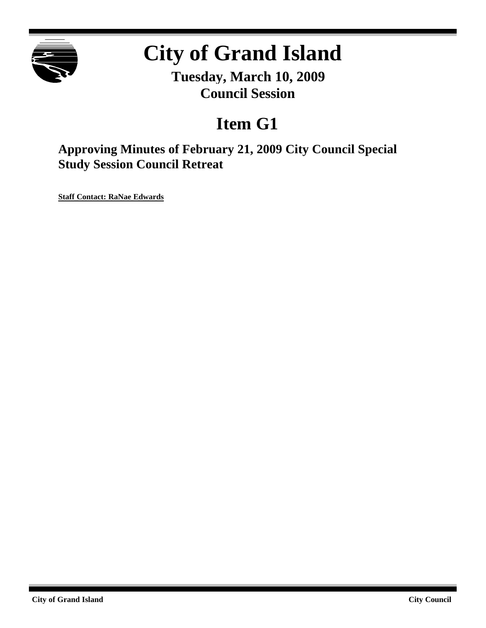

# **City of Grand Island**

**Tuesday, March 10, 2009 Council Session**

## **Item G1**

**Approving Minutes of February 21, 2009 City Council Special Study Session Council Retreat**

**Staff Contact: RaNae Edwards**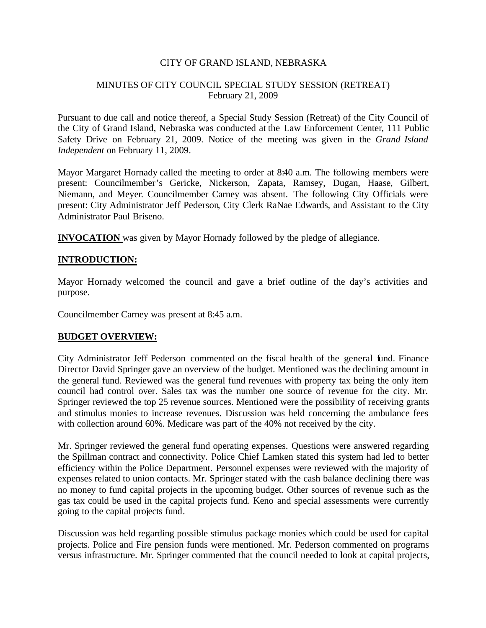#### CITY OF GRAND ISLAND, NEBRASKA

#### MINUTES OF CITY COUNCIL SPECIAL STUDY SESSION (RETREAT) February 21, 2009

Pursuant to due call and notice thereof, a Special Study Session (Retreat) of the City Council of the City of Grand Island, Nebraska was conducted at the Law Enforcement Center, 111 Public Safety Drive on February 21, 2009. Notice of the meeting was given in the *Grand Island Independent* on February 11, 2009.

Mayor Margaret Hornady called the meeting to order at 8:40 a.m. The following members were present: Councilmember's Gericke, Nickerson, Zapata, Ramsey, Dugan, Haase, Gilbert, Niemann, and Meyer. Councilmember Carney was absent. The following City Officials were present: City Administrator Jeff Pederson, City Clerk RaNae Edwards, and Assistant to the City Administrator Paul Briseno.

**INVOCATION** was given by Mayor Hornady followed by the pledge of allegiance.

#### **INTRODUCTION:**

Mayor Hornady welcomed the council and gave a brief outline of the day's activities and purpose.

Councilmember Carney was present at 8:45 a.m.

#### **BUDGET OVERVIEW:**

City Administrator Jeff Pederson commented on the fiscal health of the general fund. Finance Director David Springer gave an overview of the budget. Mentioned was the declining amount in the general fund. Reviewed was the general fund revenues with property tax being the only item council had control over. Sales tax was the number one source of revenue for the city. Mr. Springer reviewed the top 25 revenue sources. Mentioned were the possibility of receiving grants and stimulus monies to increase revenues. Discussion was held concerning the ambulance fees with collection around 60%. Medicare was part of the 40% not received by the city.

Mr. Springer reviewed the general fund operating expenses. Questions were answered regarding the Spillman contract and connectivity. Police Chief Lamken stated this system had led to better efficiency within the Police Department. Personnel expenses were reviewed with the majority of expenses related to union contacts. Mr. Springer stated with the cash balance declining there was no money to fund capital projects in the upcoming budget. Other sources of revenue such as the gas tax could be used in the capital projects fund. Keno and special assessments were currently going to the capital projects fund.

Discussion was held regarding possible stimulus package monies which could be used for capital projects. Police and Fire pension funds were mentioned. Mr. Pederson commented on programs versus infrastructure. Mr. Springer commented that the council needed to look at capital projects,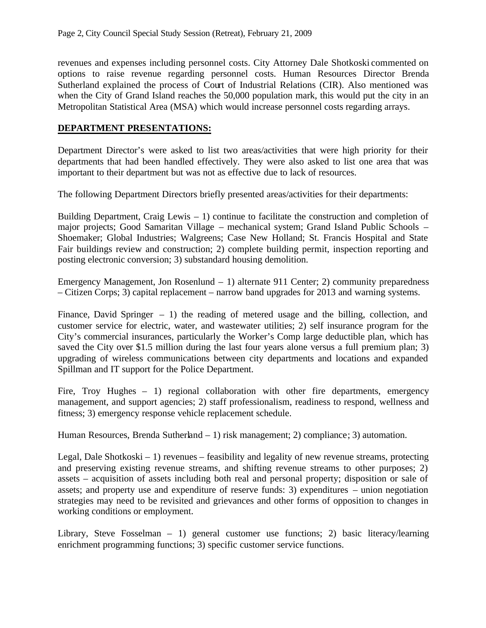revenues and expenses including personnel costs. City Attorney Dale Shotkoski commented on options to raise revenue regarding personnel costs. Human Resources Director Brenda Sutherland explained the process of Court of Industrial Relations (CIR). Also mentioned was when the City of Grand Island reaches the 50,000 population mark, this would put the city in an Metropolitan Statistical Area (MSA) which would increase personnel costs regarding arrays.

#### **DEPARTMENT PRESENTATIONS:**

Department Director's were asked to list two areas/activities that were high priority for their departments that had been handled effectively. They were also asked to list one area that was important to their department but was not as effective due to lack of resources.

The following Department Directors briefly presented areas/activities for their departments:

Building Department, Craig Lewis – 1) continue to facilitate the construction and completion of major projects; Good Samaritan Village – mechanical system; Grand Island Public Schools – Shoemaker; Global Industries; Walgreens; Case New Holland; St. Francis Hospital and State Fair buildings review and construction; 2) complete building permit, inspection reporting and posting electronic conversion; 3) substandard housing demolition.

Emergency Management, Jon Rosenlund – 1) alternate 911 Center; 2) community preparedness – Citizen Corps; 3) capital replacement – narrow band upgrades for 2013 and warning systems.

Finance, David Springer  $-1$ ) the reading of metered usage and the billing, collection, and customer service for electric, water, and wastewater utilities; 2) self insurance program for the City's commercial insurances, particularly the Worker's Comp large deductible plan, which has saved the City over \$1.5 million during the last four years alone versus a full premium plan; 3) upgrading of wireless communications between city departments and locations and expanded Spillman and IT support for the Police Department.

Fire, Troy Hughes – 1) regional collaboration with other fire departments, emergency management, and support agencies; 2) staff professionalism, readiness to respond, wellness and fitness; 3) emergency response vehicle replacement schedule.

Human Resources, Brenda Sutherland  $-1$ ) risk management; 2) compliance; 3) automation.

Legal, Dale Shotkoski – 1) revenues – feasibility and legality of new revenue streams, protecting and preserving existing revenue streams, and shifting revenue streams to other purposes; 2) assets – acquisition of assets including both real and personal property; disposition or sale of assets; and property use and expenditure of reserve funds: 3) expenditures – union negotiation strategies may need to be revisited and grievances and other forms of opposition to changes in working conditions or employment.

Library, Steve Fosselman – 1) general customer use functions; 2) basic literacy/learning enrichment programming functions; 3) specific customer service functions.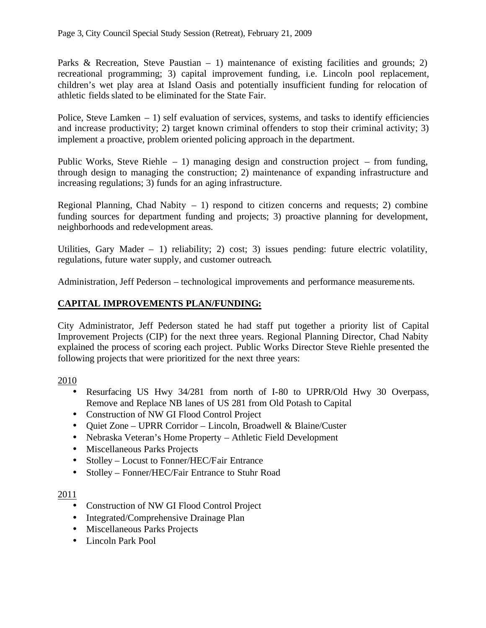Parks & Recreation, Steve Paustian  $-1$ ) maintenance of existing facilities and grounds; 2) recreational programming; 3) capital improvement funding, i.e. Lincoln pool replacement, children's wet play area at Island Oasis and potentially insufficient funding for relocation of athletic fields slated to be eliminated for the State Fair.

Police, Steve Lamken  $-1$ ) self evaluation of services, systems, and tasks to identify efficiencies and increase productivity; 2) target known criminal offenders to stop their criminal activity; 3) implement a proactive, problem oriented policing approach in the department.

Public Works, Steve Riehle  $-1$ ) managing design and construction project  $-$  from funding, through design to managing the construction; 2) maintenance of expanding infrastructure and increasing regulations; 3) funds for an aging infrastructure.

Regional Planning, Chad Nabity  $-1$ ) respond to citizen concerns and requests; 2) combine funding sources for department funding and projects; 3) proactive planning for development, neighborhoods and redevelopment areas.

Utilities, Gary Mader – 1) reliability; 2) cost; 3) issues pending: future electric volatility, regulations, future water supply, and customer outreach.

Administration, Jeff Pederson – technological improvements and performance measurements.

#### **CAPITAL IMPROVEMENTS PLAN/FUNDING:**

City Administrator, Jeff Pederson stated he had staff put together a priority list of Capital Improvement Projects (CIP) for the next three years. Regional Planning Director, Chad Nabity explained the process of scoring each project. Public Works Director Steve Riehle presented the following projects that were prioritized for the next three years:

2010

- Resurfacing US Hwy 34/281 from north of I-80 to UPRR/Old Hwy 30 Overpass, Remove and Replace NB lanes of US 281 from Old Potash to Capital
- Construction of NW GI Flood Control Project
- Quiet Zone UPRR Corridor Lincoln, Broadwell & Blaine/Custer
- Nebraska Veteran's Home Property Athletic Field Development
- Miscellaneous Parks Projects
- Stolley Locust to Fonner/HEC/Fair Entrance
- Stolley Fonner/HEC/Fair Entrance to Stuhr Road

2011

- Construction of NW GI Flood Control Project
- Integrated/Comprehensive Drainage Plan
- Miscellaneous Parks Projects
- Lincoln Park Pool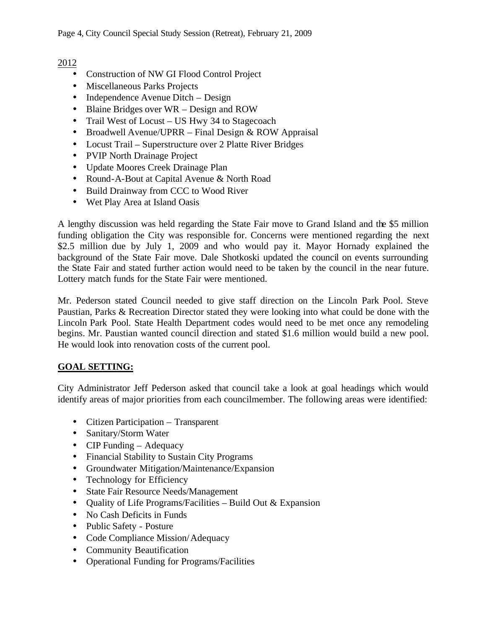#### 2012

- Construction of NW GI Flood Control Project
- Miscellaneous Parks Projects
- Independence Avenue Ditch Design
- Blaine Bridges over WR Design and ROW
- Trail West of Locust US Hwy 34 to Stagecoach
- Broadwell Avenue/UPRR Final Design & ROW Appraisal
- Locust Trail Superstructure over 2 Platte River Bridges
- PVIP North Drainage Project
- Update Moores Creek Drainage Plan
- Round-A-Bout at Capital Avenue & North Road
- Build Drainway from CCC to Wood River
- Wet Play Area at Island Oasis

A lengthy discussion was held regarding the State Fair move to Grand Island and the \$5 million funding obligation the City was responsible for. Concerns were mentioned regarding the next \$2.5 million due by July 1, 2009 and who would pay it. Mayor Hornady explained the background of the State Fair move. Dale Shotkoski updated the council on events surrounding the State Fair and stated further action would need to be taken by the council in the near future. Lottery match funds for the State Fair were mentioned.

Mr. Pederson stated Council needed to give staff direction on the Lincoln Park Pool. Steve Paustian, Parks & Recreation Director stated they were looking into what could be done with the Lincoln Park Pool. State Health Department codes would need to be met once any remodeling begins. Mr. Paustian wanted council direction and stated \$1.6 million would build a new pool. He would look into renovation costs of the current pool.

### **GOAL SETTING:**

City Administrator Jeff Pederson asked that council take a look at goal headings which would identify areas of major priorities from each councilmember. The following areas were identified:

- Citizen Participation Transparent
- Sanitary/Storm Water
- CIP Funding Adequacy
- Financial Stability to Sustain City Programs
- Groundwater Mitigation/Maintenance/Expansion
- Technology for Efficiency
- State Fair Resource Needs/Management
- Quality of Life Programs/Facilities Build Out & Expansion
- No Cash Deficits in Funds
- Public Safety Posture
- Code Compliance Mission/Adequacy
- Community Beautification
- Operational Funding for Programs/Facilities